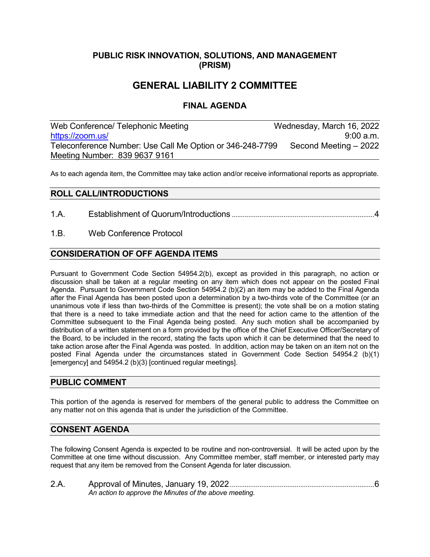## **PUBLIC RISK INNOVATION, SOLUTIONS, AND MANAGEMENT (PRISM)**

# **GENERAL LIABILITY 2 COMMITTEE**

## **FINAL AGENDA**

Web Conference/ Telephonic Meeting Wednesday, March 16, 2022 [https://zoom.us/](https://us06web.zoom.us/s/83996379161?pwd=QnVlOUg3VTYrNlVHZjZNUHRWVlNnQT09#success) 9:00 a.m. Teleconference Number: Use Call Me Option or 346-248-7799 Second Meeting - 2022 Meeting Number: 839 9637 9161

As to each agenda item, the Committee may take action and/or receive informational reports as appropriate.

### **ROLL CALL/INTRODUCTIONS**

1.A. Establishment of Quorum/Introductions .............................................................................4

1.B. Web Conference Protocol

### **CONSIDERATION OF OFF AGENDA ITEMS**

Pursuant to Government Code Section 54954.2(b), except as provided in this paragraph, no action or discussion shall be taken at a regular meeting on any item which does not appear on the posted Final Agenda. Pursuant to Government Code Section 54954.2 (b)(2) an item may be added to the Final Agenda after the Final Agenda has been posted upon a determination by a two-thirds vote of the Committee (or an unanimous vote if less than two-thirds of the Committee is present); the vote shall be on a motion stating that there is a need to take immediate action and that the need for action came to the attention of the Committee subsequent to the Final Agenda being posted. Any such motion shall be accompanied by distribution of a written statement on a form provided by the office of the Chief Executive Officer/Secretary of the Board, to be included in the record, stating the facts upon which it can be determined that the need to take action arose after the Final Agenda was posted. In addition, action may be taken on an item not on the posted Final Agenda under the circumstances stated in Government Code Section 54954.2 (b)(1) [emergency] and 54954.2 (b)(3) [continued regular meetings].

#### **PUBLIC COMMENT**

This portion of the agenda is reserved for members of the general public to address the Committee on any matter not on this agenda that is under the jurisdiction of the Committee.

#### **CONSENT AGENDA**

The following Consent Agenda is expected to be routine and non-controversial. It will be acted upon by the Committee at one time without discussion. Any Committee member, staff member, or interested party may request that any item be removed from the Consent Agenda for later discussion.

| 2.A. |                                                        |
|------|--------------------------------------------------------|
|      | An action to approve the Minutes of the above meeting. |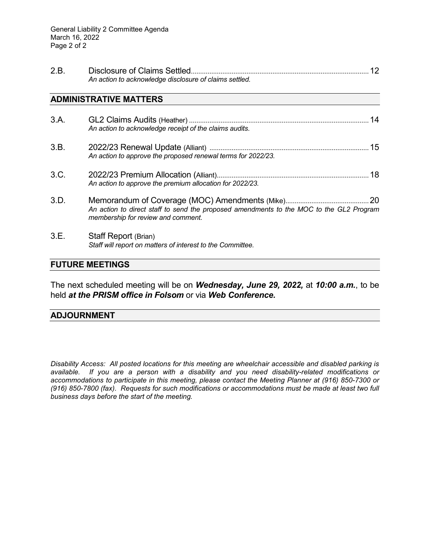| 2.B |                                                        |  |
|-----|--------------------------------------------------------|--|
|     | An action to acknowledge disclosure of claims settled. |  |

#### **ADMINISTRATIVE MATTERS**

| 3.A. | An action to acknowledge receipt of the claims audits.                                                                        | 14 |
|------|-------------------------------------------------------------------------------------------------------------------------------|----|
| 3.B. | An action to approve the proposed renewal terms for 2022/23.                                                                  |    |
| 3.C. | An action to approve the premium allocation for 2022/23.                                                                      |    |
| 3.D. | An action to direct staff to send the proposed amendments to the MOC to the GL2 Program<br>membership for review and comment. |    |
| 3.E. | Staff Report (Brian)<br>Staff will report on matters of interest to the Committee.                                            |    |

### **FUTURE MEETINGS**

The next scheduled meeting will be on *Wednesday, June 29, 2022,* at *10:00 a.m.*, to be held *at the PRISM office in Folsom* or via *Web Conference.*

### **ADJOURNMENT**

*Disability Access: All posted locations for this meeting are wheelchair accessible and disabled parking is available. If you are a person with a disability and you need disability-related modifications or accommodations to participate in this meeting, please contact the Meeting Planner at (916) 850-7300 or (916) 850-7800 (fax). Requests for such modifications or accommodations must be made at least two full business days before the start of the meeting.*